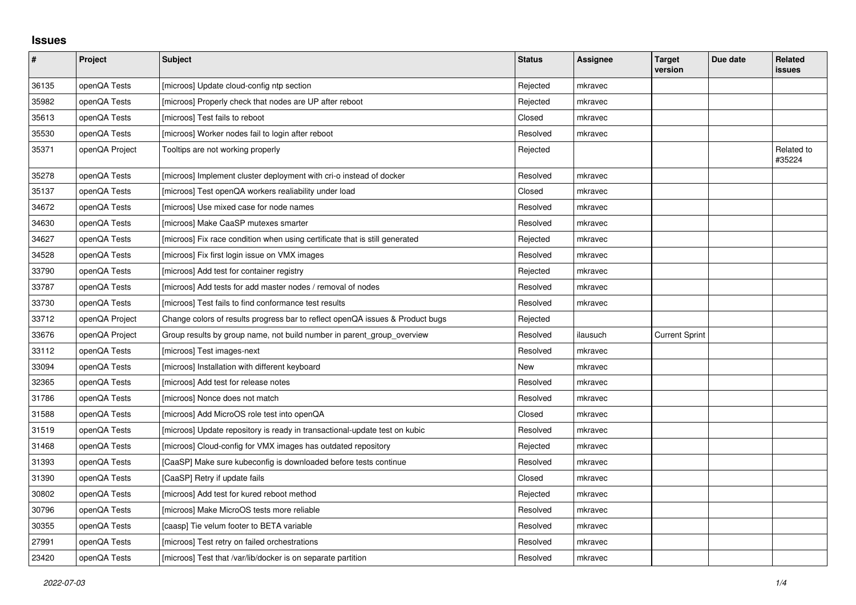## **Issues**

| $\sharp$ | Project        | <b>Subject</b>                                                                | <b>Status</b> | <b>Assignee</b> | <b>Target</b><br>version | Due date | Related<br>issues    |
|----------|----------------|-------------------------------------------------------------------------------|---------------|-----------------|--------------------------|----------|----------------------|
| 36135    | openQA Tests   | [microos] Update cloud-config ntp section                                     | Rejected      | mkravec         |                          |          |                      |
| 35982    | openQA Tests   | [microos] Properly check that nodes are UP after reboot                       | Rejected      | mkravec         |                          |          |                      |
| 35613    | openQA Tests   | [microos] Test fails to reboot                                                | Closed        | mkravec         |                          |          |                      |
| 35530    | openQA Tests   | [microos] Worker nodes fail to login after reboot                             | Resolved      | mkravec         |                          |          |                      |
| 35371    | openQA Project | Tooltips are not working properly                                             | Rejected      |                 |                          |          | Related to<br>#35224 |
| 35278    | openQA Tests   | [microos] Implement cluster deployment with cri-o instead of docker           | Resolved      | mkravec         |                          |          |                      |
| 35137    | openQA Tests   | [microos] Test openQA workers realiability under load                         | Closed        | mkravec         |                          |          |                      |
| 34672    | openQA Tests   | [microos] Use mixed case for node names                                       | Resolved      | mkravec         |                          |          |                      |
| 34630    | openQA Tests   | [microos] Make CaaSP mutexes smarter                                          | Resolved      | mkravec         |                          |          |                      |
| 34627    | openQA Tests   | [microos] Fix race condition when using certificate that is still generated   | Rejected      | mkravec         |                          |          |                      |
| 34528    | openQA Tests   | [microos] Fix first login issue on VMX images                                 | Resolved      | mkravec         |                          |          |                      |
| 33790    | openQA Tests   | [microos] Add test for container registry                                     | Rejected      | mkravec         |                          |          |                      |
| 33787    | openQA Tests   | [microos] Add tests for add master nodes / removal of nodes                   | Resolved      | mkravec         |                          |          |                      |
| 33730    | openQA Tests   | [microos] Test fails to find conformance test results                         | Resolved      | mkravec         |                          |          |                      |
| 33712    | openQA Project | Change colors of results progress bar to reflect openQA issues & Product bugs | Rejected      |                 |                          |          |                      |
| 33676    | openQA Project | Group results by group name, not build number in parent_group_overview        | Resolved      | ilausuch        | <b>Current Sprint</b>    |          |                      |
| 33112    | openQA Tests   | [microos] Test images-next                                                    | Resolved      | mkravec         |                          |          |                      |
| 33094    | openQA Tests   | [microos] Installation with different keyboard                                | New           | mkravec         |                          |          |                      |
| 32365    | openQA Tests   | [microos] Add test for release notes                                          | Resolved      | mkravec         |                          |          |                      |
| 31786    | openQA Tests   | [microos] Nonce does not match                                                | Resolved      | mkravec         |                          |          |                      |
| 31588    | openQA Tests   | [microos] Add MicroOS role test into openQA                                   | Closed        | mkravec         |                          |          |                      |
| 31519    | openQA Tests   | [microos] Update repository is ready in transactional-update test on kubic    | Resolved      | mkravec         |                          |          |                      |
| 31468    | openQA Tests   | [microos] Cloud-config for VMX images has outdated repository                 | Rejected      | mkravec         |                          |          |                      |
| 31393    | openQA Tests   | [CaaSP] Make sure kubeconfig is downloaded before tests continue              | Resolved      | mkravec         |                          |          |                      |
| 31390    | openQA Tests   | [CaaSP] Retry if update fails                                                 | Closed        | mkravec         |                          |          |                      |
| 30802    | openQA Tests   | [microos] Add test for kured reboot method                                    | Rejected      | mkravec         |                          |          |                      |
| 30796    | openQA Tests   | [microos] Make MicroOS tests more reliable                                    | Resolved      | mkravec         |                          |          |                      |
| 30355    | openQA Tests   | [caasp] Tie velum footer to BETA variable                                     | Resolved      | mkravec         |                          |          |                      |
| 27991    | openQA Tests   | [microos] Test retry on failed orchestrations                                 | Resolved      | mkravec         |                          |          |                      |
| 23420    | openQA Tests   | [microos] Test that /var/lib/docker is on separate partition                  | Resolved      | mkravec         |                          |          |                      |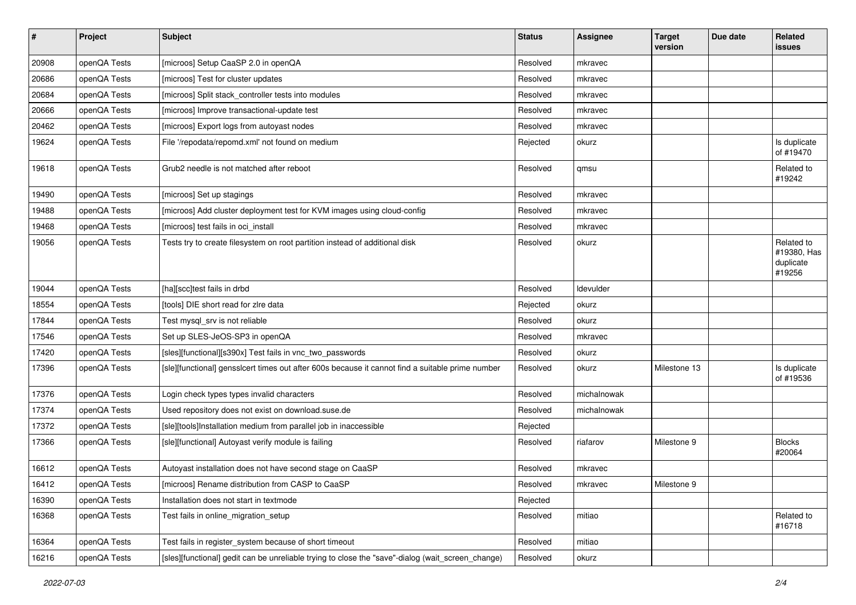| #     | Project      | <b>Subject</b>                                                                                    | <b>Status</b> | Assignee    | <b>Target</b><br>version | Due date | Related<br><b>issues</b>                         |
|-------|--------------|---------------------------------------------------------------------------------------------------|---------------|-------------|--------------------------|----------|--------------------------------------------------|
| 20908 | openQA Tests | [microos] Setup CaaSP 2.0 in openQA                                                               | Resolved      | mkravec     |                          |          |                                                  |
| 20686 | openQA Tests | [microos] Test for cluster updates                                                                | Resolved      | mkravec     |                          |          |                                                  |
| 20684 | openQA Tests | [microos] Split stack_controller tests into modules                                               | Resolved      | mkravec     |                          |          |                                                  |
| 20666 | openQA Tests | [microos] Improve transactional-update test                                                       | Resolved      | mkravec     |                          |          |                                                  |
| 20462 | openQA Tests | [microos] Export logs from autoyast nodes                                                         | Resolved      | mkravec     |                          |          |                                                  |
| 19624 | openQA Tests | File '/repodata/repomd.xml' not found on medium                                                   | Rejected      | okurz       |                          |          | Is duplicate<br>of #19470                        |
| 19618 | openQA Tests | Grub2 needle is not matched after reboot                                                          | Resolved      | qmsu        |                          |          | Related to<br>#19242                             |
| 19490 | openQA Tests | [microos] Set up stagings                                                                         | Resolved      | mkravec     |                          |          |                                                  |
| 19488 | openQA Tests | [microos] Add cluster deployment test for KVM images using cloud-config                           | Resolved      | mkravec     |                          |          |                                                  |
| 19468 | openQA Tests | [microos] test fails in oci_install                                                               | Resolved      | mkravec     |                          |          |                                                  |
| 19056 | openQA Tests | Tests try to create filesystem on root partition instead of additional disk                       | Resolved      | okurz       |                          |          | Related to<br>#19380, Has<br>duplicate<br>#19256 |
| 19044 | openQA Tests | [ha][scc]test fails in drbd                                                                       | Resolved      | Idevulder   |                          |          |                                                  |
| 18554 | openQA Tests | [tools] DIE short read for zire data                                                              | Rejected      | okurz       |                          |          |                                                  |
| 17844 | openQA Tests | Test mysql_srv is not reliable                                                                    | Resolved      | okurz       |                          |          |                                                  |
| 17546 | openQA Tests | Set up SLES-JeOS-SP3 in openQA                                                                    | Resolved      | mkravec     |                          |          |                                                  |
| 17420 | openQA Tests | [sles][functional][s390x] Test fails in vnc_two_passwords                                         | Resolved      | okurz       |                          |          |                                                  |
| 17396 | openQA Tests | [sle][functional] gensslcert times out after 600s because it cannot find a suitable prime number  | Resolved      | okurz       | Milestone 13             |          | Is duplicate<br>of #19536                        |
| 17376 | openQA Tests | Login check types types invalid characters                                                        | Resolved      | michalnowak |                          |          |                                                  |
| 17374 | openQA Tests | Used repository does not exist on download.suse.de                                                | Resolved      | michalnowak |                          |          |                                                  |
| 17372 | openQA Tests | [sle][tools]Installation medium from parallel job in inaccessible                                 | Rejected      |             |                          |          |                                                  |
| 17366 | openQA Tests | [sle][functional] Autoyast verify module is failing                                               | Resolved      | riafarov    | Milestone 9              |          | <b>Blocks</b><br>#20064                          |
| 16612 | openQA Tests | Autovast installation does not have second stage on CaaSP                                         | Resolved      | mkravec     |                          |          |                                                  |
| 16412 | openQA Tests | [microos] Rename distribution from CASP to CaaSP                                                  | Resolved      | mkravec     | Milestone 9              |          |                                                  |
| 16390 | openQA Tests | Installation does not start in textmode                                                           | Rejected      |             |                          |          |                                                  |
| 16368 | openQA Tests | Test fails in online_migration_setup                                                              | Resolved      | mitiao      |                          |          | Related to<br>#16718                             |
| 16364 | openQA Tests | Test fails in register_system because of short timeout                                            | Resolved      | mitiao      |                          |          |                                                  |
| 16216 | openQA Tests | [sles][functional] gedit can be unreliable trying to close the "save"-dialog (wait_screen_change) | Resolved      | okurz       |                          |          |                                                  |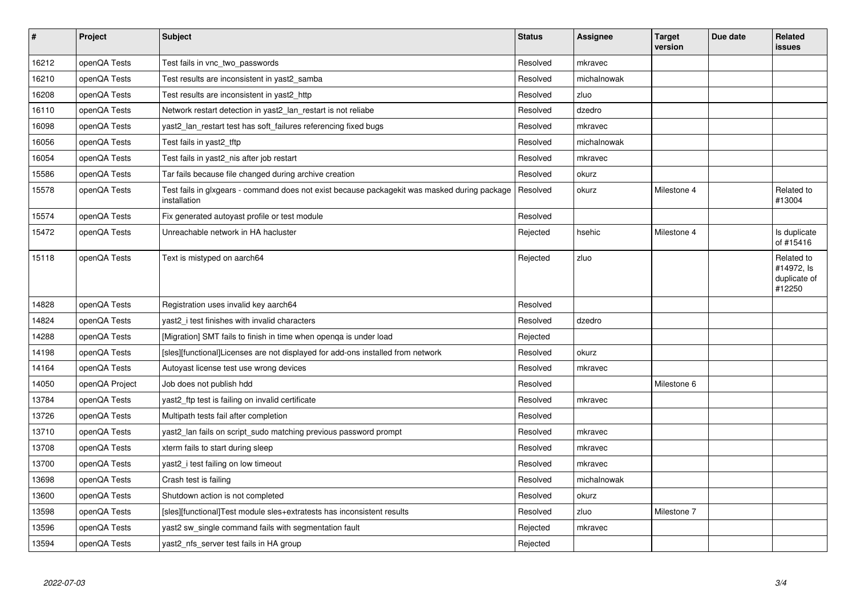| $\pmb{\#}$ | Project        | <b>Subject</b>                                                                                               | <b>Status</b> | <b>Assignee</b> | Target<br>version | Due date | Related<br>issues                                  |
|------------|----------------|--------------------------------------------------------------------------------------------------------------|---------------|-----------------|-------------------|----------|----------------------------------------------------|
| 16212      | openQA Tests   | Test fails in vnc_two_passwords                                                                              | Resolved      | mkravec         |                   |          |                                                    |
| 16210      | openQA Tests   | Test results are inconsistent in yast2 samba                                                                 | Resolved      | michalnowak     |                   |          |                                                    |
| 16208      | openQA Tests   | Test results are inconsistent in yast2 http                                                                  | Resolved      | zluo            |                   |          |                                                    |
| 16110      | openQA Tests   | Network restart detection in yast2_lan_restart is not reliabe                                                | Resolved      | dzedro          |                   |          |                                                    |
| 16098      | openQA Tests   | yast2_lan_restart test has soft_failures referencing fixed bugs                                              | Resolved      | mkravec         |                   |          |                                                    |
| 16056      | openQA Tests   | Test fails in yast2_tftp                                                                                     | Resolved      | michalnowak     |                   |          |                                                    |
| 16054      | openQA Tests   | Test fails in yast2_nis after job restart                                                                    | Resolved      | mkravec         |                   |          |                                                    |
| 15586      | openQA Tests   | Tar fails because file changed during archive creation                                                       | Resolved      | okurz           |                   |          |                                                    |
| 15578      | openQA Tests   | Test fails in glxgears - command does not exist because packagekit was masked during package<br>installation | Resolved      | okurz           | Milestone 4       |          | Related to<br>#13004                               |
| 15574      | openQA Tests   | Fix generated autoyast profile or test module                                                                | Resolved      |                 |                   |          |                                                    |
| 15472      | openQA Tests   | Unreachable network in HA hacluster                                                                          | Rejected      | hsehic          | Milestone 4       |          | Is duplicate<br>of #15416                          |
| 15118      | openQA Tests   | Text is mistyped on aarch64                                                                                  | Rejected      | zluo            |                   |          | Related to<br>#14972, Is<br>duplicate of<br>#12250 |
| 14828      | openQA Tests   | Registration uses invalid key aarch64                                                                        | Resolved      |                 |                   |          |                                                    |
| 14824      | openQA Tests   | yast2 i test finishes with invalid characters                                                                | Resolved      | dzedro          |                   |          |                                                    |
| 14288      | openQA Tests   | [Migration] SMT fails to finish in time when openga is under load                                            | Rejected      |                 |                   |          |                                                    |
| 14198      | openQA Tests   | [sles][functional]Licenses are not displayed for add-ons installed from network                              | Resolved      | okurz           |                   |          |                                                    |
| 14164      | openQA Tests   | Autoyast license test use wrong devices                                                                      | Resolved      | mkravec         |                   |          |                                                    |
| 14050      | openQA Project | Job does not publish hdd                                                                                     | Resolved      |                 | Milestone 6       |          |                                                    |
| 13784      | openQA Tests   | yast2 ftp test is failing on invalid certificate                                                             | Resolved      | mkravec         |                   |          |                                                    |
| 13726      | openQA Tests   | Multipath tests fail after completion                                                                        | Resolved      |                 |                   |          |                                                    |
| 13710      | openQA Tests   | yast2 Ian fails on script sudo matching previous password prompt                                             | Resolved      | mkravec         |                   |          |                                                    |
| 13708      | openQA Tests   | xterm fails to start during sleep                                                                            | Resolved      | mkravec         |                   |          |                                                    |
| 13700      | openQA Tests   | yast2_i test failing on low timeout                                                                          | Resolved      | mkravec         |                   |          |                                                    |
| 13698      | openQA Tests   | Crash test is failing                                                                                        | Resolved      | michalnowak     |                   |          |                                                    |
| 13600      | openQA Tests   | Shutdown action is not completed                                                                             | Resolved      | okurz           |                   |          |                                                    |
| 13598      | openQA Tests   | [sles][functional]Test module sles+extratests has inconsistent results                                       | Resolved      | zluo            | Milestone 7       |          |                                                    |
| 13596      | openQA Tests   | yast2 sw_single command fails with segmentation fault                                                        | Rejected      | mkravec         |                   |          |                                                    |
| 13594      | openQA Tests   | yast2 nfs server test fails in HA group                                                                      | Rejected      |                 |                   |          |                                                    |